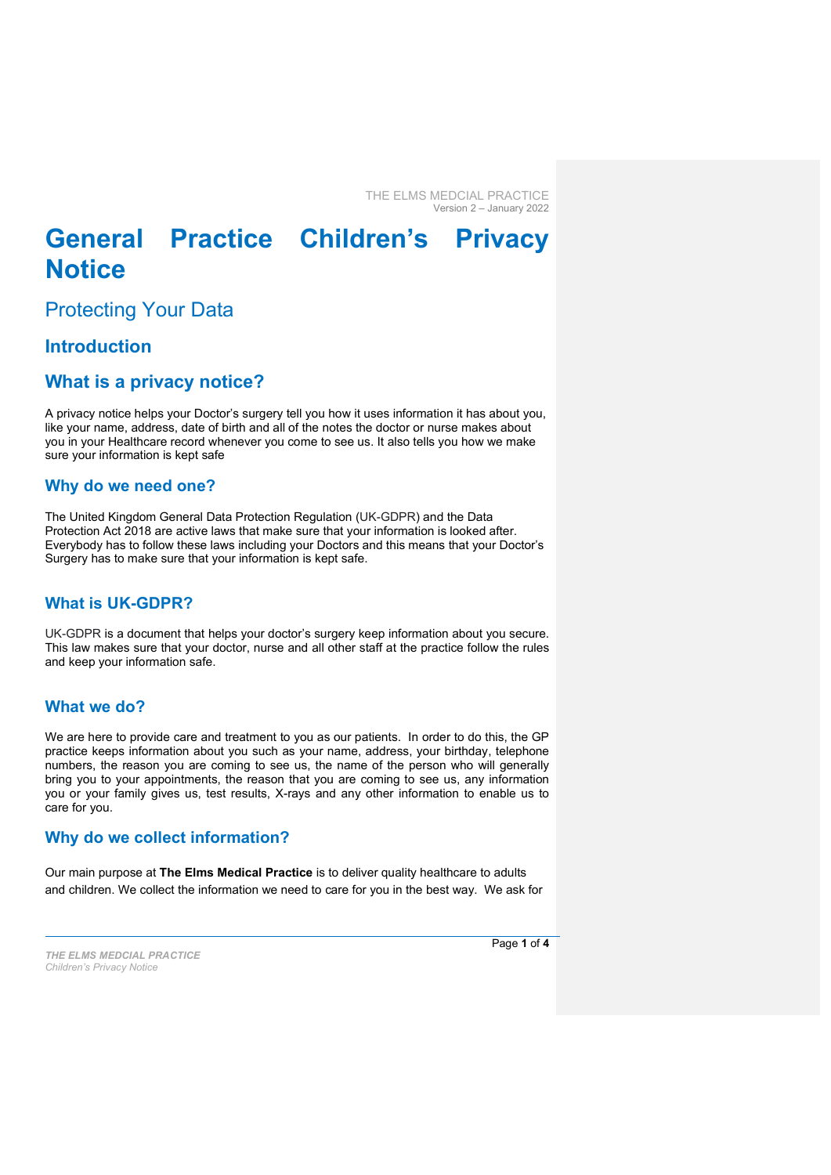# General Practice Children's Privacy **Notice**

Protecting Your Data

# Introduction

# What is a privacy notice?

A privacy notice helps your Doctor's surgery tell you how it uses information it has about you, like your name, address, date of birth and all of the notes the doctor or nurse makes about you in your Healthcare record whenever you come to see us. It also tells you how we make sure your information is kept safe

## Why do we need one?

The United Kingdom General Data Protection Regulation (UK-GDPR) and the Data Protection Act 2018 are active laws that make sure that your information is looked after. Everybody has to follow these laws including your Doctors and this means that your Doctor's Surgery has to make sure that your information is kept safe.

# What is UK-GDPR?

UK-GDPR is a document that helps your doctor's surgery keep information about you secure. This law makes sure that your doctor, nurse and all other staff at the practice follow the rules and keep your information safe.

## What we do?

We are here to provide care and treatment to you as our patients. In order to do this, the GP practice keeps information about you such as your name, address, your birthday, telephone numbers, the reason you are coming to see us, the name of the person who will generally bring you to your appointments, the reason that you are coming to see us, any information you or your family gives us, test results, X-rays and any other information to enable us to care for you.

# Why do we collect information?

Our main purpose at The Elms Medical Practice is to deliver quality healthcare to adults and children. We collect the information we need to care for you in the best way. We ask for

THE ELMS MEDCIAL PRACTICE Children's Privacy Notice

Page 1 of 4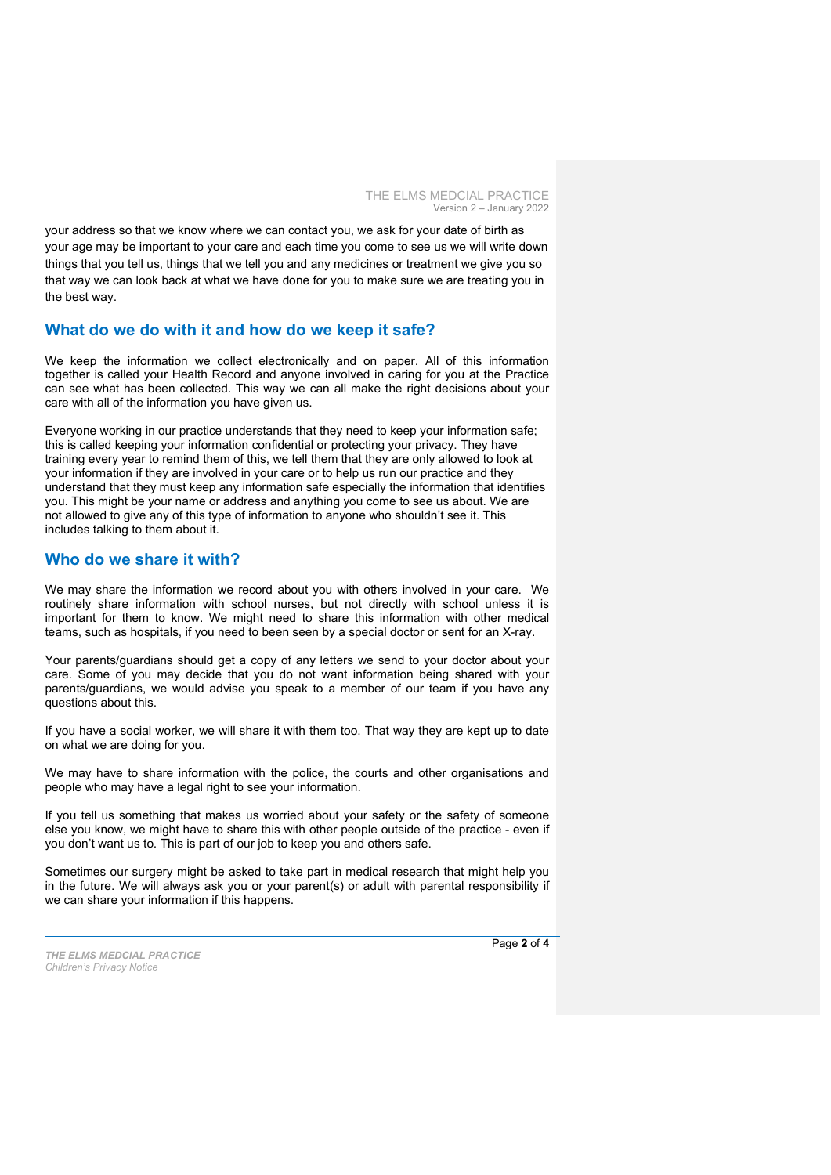your address so that we know where we can contact you, we ask for your date of birth as your age may be important to your care and each time you come to see us we will write down things that you tell us, things that we tell you and any medicines or treatment we give you so that way we can look back at what we have done for you to make sure we are treating you in the best way.

#### What do we do with it and how do we keep it safe?

We keep the information we collect electronically and on paper. All of this information together is called your Health Record and anyone involved in caring for you at the Practice can see what has been collected. This way we can all make the right decisions about your care with all of the information you have given us.

Everyone working in our practice understands that they need to keep your information safe; this is called keeping your information confidential or protecting your privacy. They have training every year to remind them of this, we tell them that they are only allowed to look at your information if they are involved in your care or to help us run our practice and they understand that they must keep any information safe especially the information that identifies you. This might be your name or address and anything you come to see us about. We are not allowed to give any of this type of information to anyone who shouldn't see it. This includes talking to them about it.

#### Who do we share it with?

We may share the information we record about you with others involved in your care. We routinely share information with school nurses, but not directly with school unless it is important for them to know. We might need to share this information with other medical teams, such as hospitals, if you need to been seen by a special doctor or sent for an X-ray.

Your parents/guardians should get a copy of any letters we send to your doctor about your care. Some of you may decide that you do not want information being shared with your parents/guardians, we would advise you speak to a member of our team if you have any questions about this.

If you have a social worker, we will share it with them too. That way they are kept up to date on what we are doing for you.

We may have to share information with the police, the courts and other organisations and people who may have a legal right to see your information.

If you tell us something that makes us worried about your safety or the safety of someone else you know, we might have to share this with other people outside of the practice - even if you don't want us to. This is part of our job to keep you and others safe.

Sometimes our surgery might be asked to take part in medical research that might help you in the future. We will always ask you or your parent(s) or adult with parental responsibility if we can share your information if this happens.

THE ELMS MEDCIAL PRACTICE Children's Privacy Notice

Page 2 of 4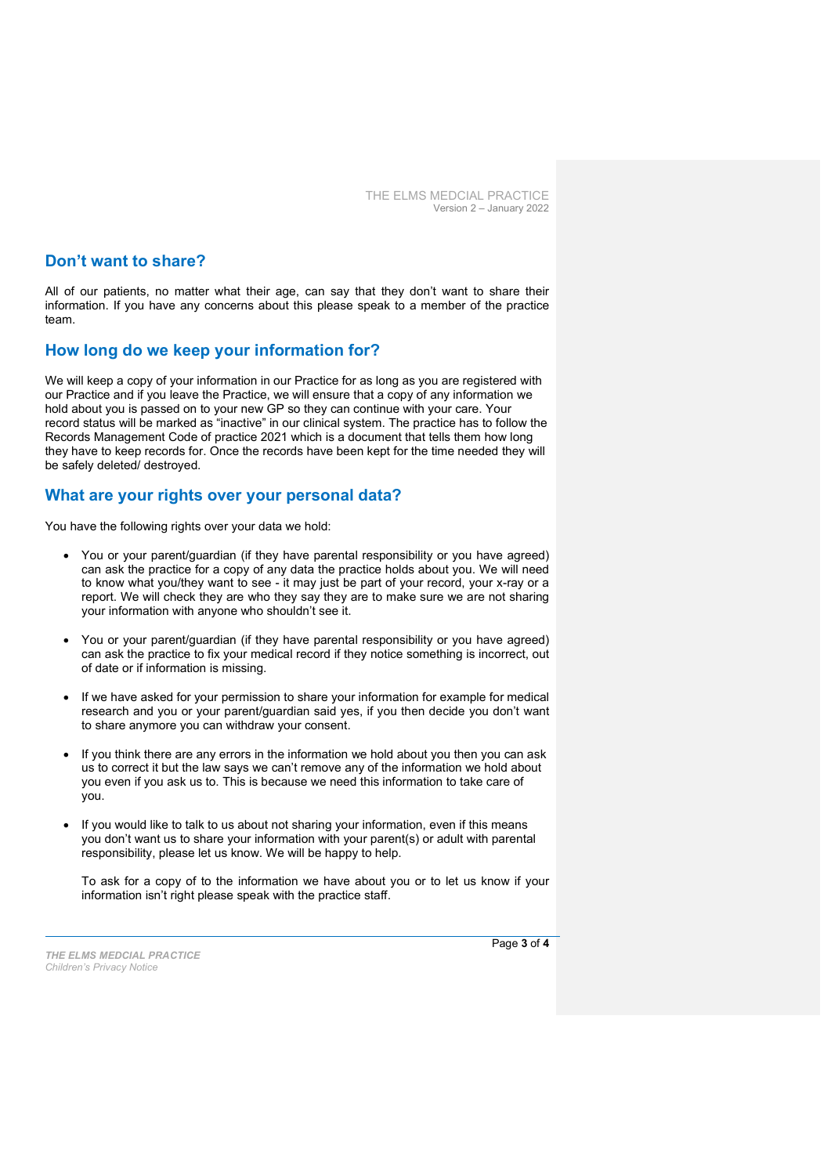## Don't want to share?

All of our patients, no matter what their age, can say that they don't want to share their information. If you have any concerns about this please speak to a member of the practice team

#### How long do we keep your information for?

We will keep a copy of your information in our Practice for as long as you are registered with our Practice and if you leave the Practice, we will ensure that a copy of any information we hold about you is passed on to your new GP so they can continue with your care. Your record status will be marked as "inactive" in our clinical system. The practice has to follow the Records Management Code of practice 2021 which is a document that tells them how long they have to keep records for. Once the records have been kept for the time needed they will be safely deleted/ destroyed.

#### What are your rights over your personal data?

You have the following rights over your data we hold:

- You or your parent/guardian (if they have parental responsibility or you have agreed) can ask the practice for a copy of any data the practice holds about you. We will need to know what you/they want to see - it may just be part of your record, your x-ray or a report. We will check they are who they say they are to make sure we are not sharing your information with anyone who shouldn't see it.
- You or your parent/guardian (if they have parental responsibility or you have agreed) can ask the practice to fix your medical record if they notice something is incorrect, out of date or if information is missing.
- If we have asked for your permission to share your information for example for medical research and you or your parent/guardian said yes, if you then decide you don't want to share anymore you can withdraw your consent.
- If you think there are any errors in the information we hold about you then you can ask us to correct it but the law says we can't remove any of the information we hold about you even if you ask us to. This is because we need this information to take care of you.
- If you would like to talk to us about not sharing your information, even if this means you don't want us to share your information with your parent(s) or adult with parental responsibility, please let us know. We will be happy to help.

To ask for a copy of to the information we have about you or to let us know if your information isn't right please speak with the practice staff.

THE ELMS MEDCIAL PRACTICE Children's Privacy Notice

Page 3 of 4